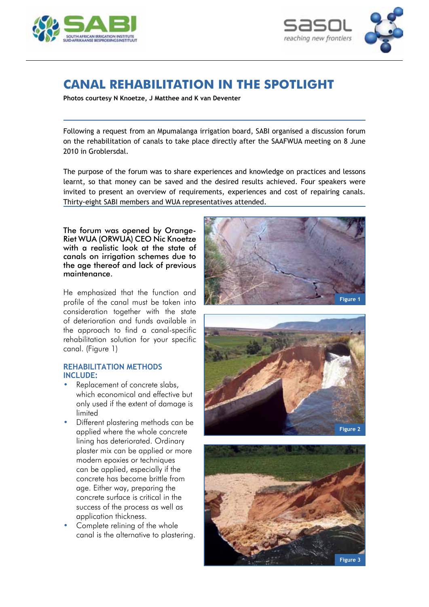



# **Canal rehabilitation in the spotlight**

**Photos courtesy N Knoetze, J Matthee and K van Deventer**

Following a request from an Mpumalanga irrigation board, SABI organised a discussion forum on the rehabilitation of canals to take place directly after the SAAFWUA meeting on 8 June 2010 in Groblersdal.

The purpose of the forum was to share experiences and knowledge on practices and lessons learnt, so that money can be saved and the desired results achieved. Four speakers were invited to present an overview of requirements, experiences and cost of repairing canals. Thirty-eight SABI members and WUA representatives attended.

The forum was opened by Orange-Riet WUA (ORWUA) CEO Nic Knoetze with a realistic look at the state of canals on irrigation schemes due to the age thereof and lack of previous maintenance.

He emphasized that the function and profile of the canal must be taken into consideration together with the state of deterioration and funds available in the approach to find a canal‑specific rehabilitation solution for your specific canal. (Figure 1)

### **Rehabilitation methods include:**

- Replacement of concrete slabs, which economical and effective but only used if the extent of damage is limited
- Different plastering methods can be applied where the whole concrete lining has deteriorated. Ordinary plaster mix can be applied or more modern epoxies or techniques can be applied, especially if the concrete has become brittle from age. Either way, preparing the concrete surface is critical in the success of the process as well as application thickness.
- Complete relining of the whole canal is the alternative to plastering.





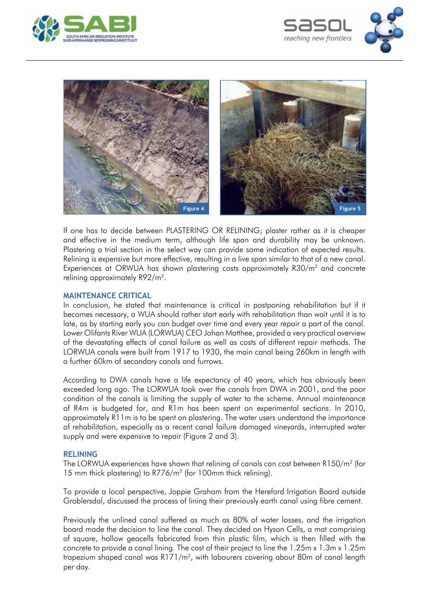





If one has to decide between PLASTERING OR RELINING; plaster rather as it is cheaper and effective in the medium term, although life span and durability may be unknown. Plastering a trial section in the select way can provide some indication of expected results. Relining is expensive but more effective, resulting in a live span similar to that of a new canal. Experiences at ORWUA has shown plastering costs approximately R30/m2 and concrete relining approximately R92/m2.

#### **Maintenance critical**

In conclusion, he stated that maintenance is critical in postponing rehabilitation but if it becomes necessary, a WUA should rather start early with rehabilitation than wait until it is to late, as by starting early you can budget over time and every year repair a part of the canal. Lower Olifants River WUA (LORWUA) CEO Johan Matthee, provided a very practical overview of the devastating effects of canal failure as well as costs of different repair methods. The LORWUA canals were built from 1917 to 1930, the main canal being 260km in length with a further 60km of secondary canals and furrows.

According to DWA canals have a life expectancy of 40 years, which has obviously been exceeded long ago. The LORWUA took over the canals from DWA in 2001, and the poor condition of the canals is limiting the supply of water to the scheme. Annual maintenance of R4m is budgeted for, and R1m has been spent on experimental sections. In 2010, approximately R11m is to be spent on plastering. The water users understand the importance of rehabilitation, especially as a recent canal failure damaged vineyards, interrupted water supply and were expensive to repair (Figure 2 and 3).

#### **Relining**

The LORWUA experiences have shown that relining of canals can cost between R150/m2 (for 15 mm thick plastering) to R776/m2 (for 100mm thick relining).

To provide a local perspective, Joppie Graham from the Hereford Irrigation Board outside Groblersdal, discussed the process of lining their previously earth canal using fibre cement.

Previously the unlined canal suffered as much as 80% of water losses, and the irrigation board made the decision to line the canal. They decided on Hyson Cells, a mat comprising of square, hollow geocells fabricated from thin plastic film, which is then filled with the concrete to provide a canal lining. The cost of their project to line the 1.25m x 1.3m x 1.25m trapezium shaped canal was R171/m2, with labourers covering about 80m of canal length per day.